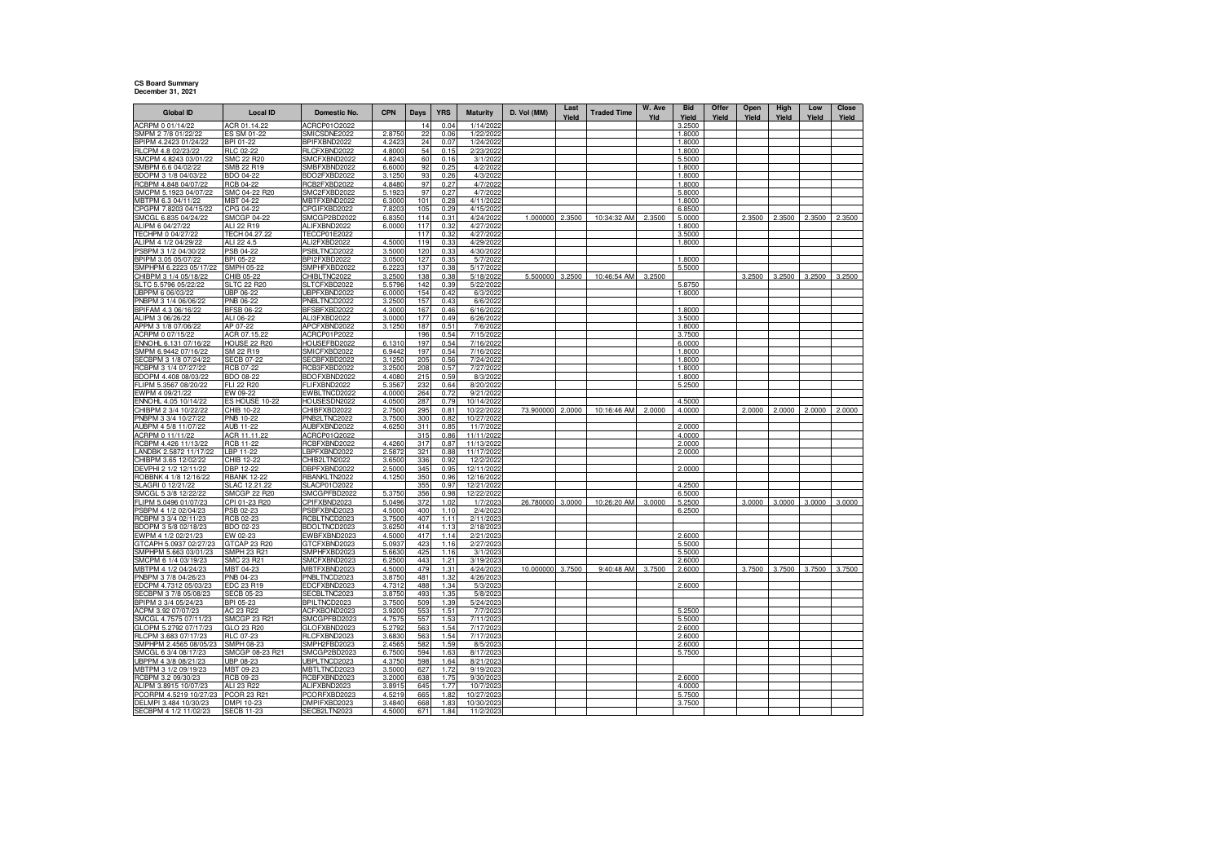## **CS Board Summary December 31, 2021**

| <b>Global ID</b>                              | <b>Local ID</b>                      | Domestic No.                 | <b>CPN</b>       | Days       | <b>YRS</b>   | Maturity                 | D. Vol (MM) | Last<br>Yield | <b>Traded Time</b> | W. Ave<br>Yld | <b>Bid</b><br>Yield | Offer<br>Yield | Open<br>Yield | High<br>Yield | Low<br>Yield | Close<br>Yield |
|-----------------------------------------------|--------------------------------------|------------------------------|------------------|------------|--------------|--------------------------|-------------|---------------|--------------------|---------------|---------------------|----------------|---------------|---------------|--------------|----------------|
| ACRPM 0 01/14/22                              | ACR 01.14.22                         | ACRCP01O2022                 |                  | 14         | 0.04         | 1/14/202                 |             |               |                    |               | 3.2500              |                |               |               |              |                |
| SMPM 2 7/8 01/22/22                           | ES SM 01-22                          | SMICSDNE2022                 | 2.8750           | 22         | 0.06         | 1/22/2022                |             |               |                    |               | 1.8000              |                |               |               |              |                |
| BPIPM 4.2423 01/24/22                         | <b>BPI 01-22</b>                     | BPIFXBND2022                 | 4.2423           | 24<br>54   | 0.07<br>0.15 | 1/24/2022                |             |               |                    |               | 1.8000              |                |               |               |              |                |
| RLCPM 4.8 02/23/22<br>SMCPM 4.8243 03/01/22   | <b>RLC 02-22</b><br>SMC 22 R20       | RLCFXBND2022<br>SMCFXBND2022 | 4.8000<br>4.8243 | 60         | 0.16         | 2/23/2022<br>3/1/2022    |             |               |                    |               | 1.8000<br>5.5000    |                |               |               |              |                |
| SMBPM 6.6 04/02/22                            | SMB 22 R19                           | SMBFXBND2022                 | 6.6000           | 92         | 0.25         | 4/2/2022                 |             |               |                    |               | 1.8000              |                |               |               |              |                |
| BDOPM 3 1/8 04/03/22                          | BDO 04-22                            | BDO2FXBD2022                 | 3.1250           | 93         | 0.26         | 4/3/2022                 |             |               |                    |               | 1.8000              |                |               |               |              |                |
| RCBPM 4.848 04/07/22                          | <b>RCB 04-22</b>                     | RCB2FXBD2022                 | 4.8480           | 97         | 0.27         | 4/7/2022                 |             |               |                    |               | 1.8000              |                |               |               |              |                |
| SMCPM 5.1923 04/07/22                         | SMC 04-22 R20                        | SMC2FXBD2022                 | 5.1923           | 97         | 0.27         | 4/7/2022                 |             |               |                    |               | 5,8000              |                |               |               |              |                |
| MBTPM 6.3 04/11/22<br>PGPM 7.8203 04/15/22    | MBT 04-22<br>CPG 04-22               | MBTFXBND2022<br>CPGIFXBD2022 | 6.3000<br>7.8203 | 101<br>105 | 0.28<br>0.29 | 4/11/2022<br>4/15/2022   |             |               |                    |               | 1.8000<br>6.8500    |                |               |               |              |                |
| SMCGL 6.835 04/24/22                          | <b>SMCGP 04-22</b>                   | SMCGP2BD2022                 | 6.835            | 114        | 0.31         | 4/24/2022                | 1.000000    | 2.3500        | 10:34:32 AM        | 2.3500        | 5.0000              |                | 2.3500        | 2.3500        | 2.3500       | 2.3500         |
| ALIPM 6 04/27/22                              | ALI 22 R19                           | ALIFXBND2022                 | 6.0000           | 117        | 0.32         | 4/27/2022                |             |               |                    |               | 1.8000              |                |               |               |              |                |
| ECHPM 0 04/27/22                              | TECH 04.27.22                        | TECCP01E2022                 |                  | 117        | 0.32         | 4/27/2022                |             |               |                    |               | 3.5000              |                |               |               |              |                |
| ALIPM 4 1/2 04/29/22                          | ALI 22 4.5                           | ALI2FXBD2022                 | 4.500            | 119        | 0.33         | 4/29/2022                |             |               |                    |               | 1.8000              |                |               |               |              |                |
| SBPM 3 1/2 04/30/22                           | PSB 04-22                            | PSBLTNCD2022                 | 3.500            | 120        | 0.33         | 4/30/2022                |             |               |                    |               |                     |                |               |               |              |                |
| BPIPM 3.05 05/07/22<br>MPHPM 6.2223 05/17/22  | BPI 05-22<br>SMPH 05-22              | BPI2FXBD2022<br>SMPHFXBD2022 | 3.0500<br>6.222  | 127<br>137 | 0.35<br>0.38 | 5/7/2022<br>5/17/2022    |             |               |                    |               | 1.8000<br>5.5000    |                |               |               |              |                |
| HIBPM 3 1/4 05/18/22                          | CHIB 05-22                           | CHIBLTNC2022                 | 3.2500           | 138        | 0.38         | 5/18/2022                | 5.500000    | 3.2500        | 10:46:54 AM        | 3.2500        |                     |                | 3.2500        | 3.2500        | 3.2500       | 3.2500         |
| LTC 5.5796 05/22/22                           | <b>SLTC 22 R20</b>                   | SLTCFXBD2022                 | 5.5796           | 142        | 0.39         | 5/22/2022                |             |               |                    |               | 5.8750              |                |               |               |              |                |
| IBPPM 6 06/03/22                              | UBP 06-22                            | UBPFXBND2022                 | 6.0000           | 154        | 0.42         | 6/3/2022                 |             |               |                    |               | 1.8000              |                |               |               |              |                |
| NBPM 3 1/4 06/06/22                           | PNB 06-22                            | PNBLTNCD2022                 | 3.2500           | 157        | 0.43         | 6/6/2022                 |             |               |                    |               |                     |                |               |               |              |                |
| BPIFAM 4.3 06/16/22                           | <b>BFSB 06-22</b>                    | BFSBFXBD2022                 | 4.3000           | 167        | 0.46         | 6/16/2022                |             |               |                    |               | 1.8000              |                |               |               |              |                |
| ALIPM 3 06/26/22<br>APPM 3 1/8 07/06/22       | ALI 06-22<br>AP 07-22                | ALI3FXBD2022<br>APCFXBND2022 | 3.0000<br>3.1250 | 177<br>187 | 0.49<br>0.51 | 6/26/2022<br>7/6/2022    |             |               |                    |               | 3.5000<br>1.8000    |                |               |               |              |                |
| ACRPM 0 07/15/22                              | ACR 07.15.22                         | ACRCP01P2022                 |                  | 196        | 0.54         | 7/15/2022                |             |               |                    |               | 3.7500              |                |               |               |              |                |
| ENNOHL 6.131 07/16/22                         | <b>HOUSE 22 R20</b>                  | HOUSEFBD2022                 | 6.1310           | 197        | 0.54         | 7/16/2022                |             |               |                    |               | 6.0000              |                |               |               |              |                |
| SMPM 6.9442 07/16/22                          | SM 22 R19                            | SMICFXBD2022                 | 6.9442           | 197        | 0.54         | 7/16/2022                |             |               |                    |               | 1.8000              |                |               |               |              |                |
| ECBPM 3 1/8 07/24/22                          | <b>SECB 07-22</b>                    | SECBFXBD2022                 | 3.1250           | 205        | 0.56         | 7/24/2022                |             |               |                    |               | 1.8000              |                |               |               |              |                |
| RCBPM 3 1/4 07/27/22                          | RCB 07-22                            | RCB3FXBD2022                 | 3.2500           | 208        | 0.57         | 7/27/2022                |             |               |                    |               | 1.8000              |                |               |               |              |                |
| BDOPM 4.408 08/03/22<br>FLIPM 5.3567 08/20/22 | BDO 08-22<br>FLI 22 R20              | BDOFXBND2022<br>FLIFXBND2022 | 4.4080<br>5.356  | 215<br>232 | 0.59<br>0.64 | 8/3/2022<br>8/20/2022    |             |               |                    |               | 1.8000<br>5.2500    |                |               |               |              |                |
| EWPM 4 09/21/22                               | EW 09-22                             | EWBLTNCD2022                 | 4.0000           | 264        | 0.72         | 9/21/2022                |             |               |                    |               |                     |                |               |               |              |                |
| NNOHL 4.05 10/14/22                           | ES HOUSE 10-22                       | HOUSESDN2022                 | 4.050            | 28         | 0.79         | 10/14/2022               |             |               |                    |               | 4.5000              |                |               |               |              |                |
| CHIBPM 2 3/4 10/22/22                         | CHIB 10-22                           | CHIBFXBD2022                 | 2.7500           | 295        | 0.81         | 10/22/2022               | 73.900000   | 2.0000        | 10:16:46 AM        | 2.0000        | 4.0000              |                | 2.0000        | 2.0000        | 2.0000       | 2.0000         |
| PNBPM 3 3/4 10/27/22                          | <b>PNB 10-22</b>                     | PNB2LTNC2022                 | 3.7500           | 300        | 0.82         | 10/27/2022               |             |               |                    |               |                     |                |               |               |              |                |
| AUBPM 4 5/8 11/07/22<br>ACRPM 0 11/11/22      | <b>AUB 11-22</b><br>ACR 11.11.22     | AUBFXBND2022<br>ACRCP01Q2022 | 4.6250           | 311<br>315 | 0.85<br>0.86 | 11/7/2022<br>11/11/2022  |             |               |                    |               | 2.0000<br>4.0000    |                |               |               |              |                |
| RCBPM 4.426 11/13/22                          | <b>RCB 11-22</b>                     | RCBFXBND2022                 | 4.426            | 317        | 0.87         | 11/13/2022               |             |               |                    |               | 2.0000              |                |               |               |              |                |
| LANDBK 2.5872 11/17/22                        | LBP 11-22                            | LBPFXBND2022                 | 2.5872           | 321        | 0.88         | 11/17/2022               |             |               |                    |               | 2.0000              |                |               |               |              |                |
| CHIBPM 3.65 12/02/22                          | CHIB 12-22                           | CHIB2LTN2022                 | 3.6500           | 336        | 0.92         | 12/2/2022                |             |               |                    |               |                     |                |               |               |              |                |
| DEVPHI 2 1/2 12/11/22                         | DBP 12-22                            | DBPFXBND2022                 | 2.5000           | 345        | 0.95         | 12/11/2022               |             |               |                    |               | 2.0000              |                |               |               |              |                |
| ROBBNK 4 1/8 12/16/22                         | <b>RBANK 12-22</b>                   | RBANKLTN2022                 | 4.1250           | 350        | 0.96<br>0.97 | 12/16/2022               |             |               |                    |               |                     |                |               |               |              |                |
| SLAGRI 0 12/21/22<br>SMCGL 5 3/8 12/22/22     | SLAC 12.21.22<br><b>SMCGP 22 R20</b> | SLACP01O2022<br>SMCGPFBD2022 | 5.3750           | 355<br>356 | 0.98         | 12/21/2022<br>12/22/2022 |             |               |                    |               | 4.2500<br>6.5000    |                |               |               |              |                |
| FLIPM 5.0496 01/07/23                         | CPI 01-23 R20                        | CPIFXBND2023                 | 5.0496           | 372        | 1.02         | 1/7/2023                 | 26.780000   | 3.0000        | 10:26:20 AM        | 3.0000        | 5.2500              |                | 3.0000        | 3.0000        | 3.0000       | 3.0000         |
| PSBPM 4 1/2 02/04/23                          | PSB 02-23                            | PSBFXBND2023                 | 4.5000           | 400        | 1.10         | 2/4/202                  |             |               |                    |               | 6.2500              |                |               |               |              |                |
| RCBPM 3 3/4 02/11/23                          | <b>RCB 02-23</b>                     | RCBLTNCD2023                 | 3.7500           | 407        | 1.11         | 2/11/2023                |             |               |                    |               |                     |                |               |               |              |                |
| BDOPM 3 5/8 02/18/23                          | BDO 02-23                            | BDOLTNCD2023                 | 3.6250           | 414        | 1.13         | 2/18/2023                |             |               |                    |               |                     |                |               |               |              |                |
| EWPM 4 1/2 02/21/23<br>GTCAPH 5.0937 02/27/23 | EW 02-23<br>GTCAP 23 R20             | EWBFXBND2023<br>GTCFXBND2023 | 4.5000           | 417<br>423 | 1.14<br>1.16 | 2/21/2023<br>2/27/2023   |             |               |                    |               | 2.6000<br>5.5000    |                |               |               |              |                |
| MPHPM 5.663 03/01/23                          | SMPH 23 R21                          | SMPHFXBD2023                 | 5.0937<br>5.663  | 425        | 1.16         | 3/1/202                  |             |               |                    |               | 5.5000              |                |               |               |              |                |
| SMCPM 6 1/4 03/19/23                          | <b>SMC 23 R21</b>                    | SMCFXBND2023                 | 6.250            | 443        | 1.21         | 3/19/2023                |             |               |                    |               | 2.6000              |                |               |               |              |                |
| IBTPM 4 1/2 04/24/23                          | MBT 04-23                            | MBTFXBND2023                 | 4.5000           | 479        | 1.31         | 4/24/2023                | 10.000000   | 3.7500        | 9:40:48 AM         | 3.7500        | 2.6000              |                | 3.7500        | 3.7500        | 3.7500       | 3.7500         |
| NBPM 3 7/8 04/26/23                           | <b>PNB 04-23</b>                     | PNBLTNCD2023                 | 3.8750           | 481        | 1.32         | 4/26/2023                |             |               |                    |               |                     |                |               |               |              |                |
| DCPM 4.7312 05/03/23                          | EDC 23 R19                           | EDCFXBND2023                 | 4.731            | 488        | 1.34         | 5/3/2023                 |             |               |                    |               | 2.6000              |                |               |               |              |                |
| ECBPM 3 7/8 05/08/23<br>BPIPM 3 3/4 05/24/23  | <b>SECB 05-23</b><br>BPI 05-23       | SECBLTNC2023<br>BPILTNCD2023 | 3.8750<br>3.7500 | 493<br>509 | 1.35<br>1.39 | 5/8/2023<br>5/24/202     |             |               |                    |               |                     |                |               |               |              |                |
| ACPM 3.92 07/07/23                            | AC 23 R22                            | ACFXBOND2023                 | 3.9200           | 553        | 1.51         | 7/7/202                  |             |               |                    |               | 5.2500              |                |               |               |              |                |
| SMCGL 4.7575 07/11/23                         | <b>SMCGP 23 R21</b>                  | SMCGPFBD2023                 | 4.7575           | 557        | 1.53         | 7/11/2023                |             |               |                    |               | 5.5000              |                |               |               |              |                |
| GLOPM 5.2792 07/17/23                         | GLO 23 R20                           | GLOFXBND2023                 | 5.2792           | 563        | 1.54         | 7/17/2023                |             |               |                    |               | 2.6000              |                |               |               |              |                |
| RLCPM 3.683 07/17/23                          | RLC 07-23                            | RLCFXBND2023                 | 3.6830           | 563        | 1.54         | 7/17/2023                |             |               |                    |               | 2.6000              |                |               |               |              |                |
| SMPHPM 2.4565 08/05/23                        | SMPH 08-23                           | SMPH2FBD2023                 | 2.4565           | 582        | 1.59         | 8/5/2023                 |             |               |                    |               | 2.6000              |                |               |               |              |                |
| SMCGL 6 3/4 08/17/23<br>JBPPM 4 3/8 08/21/23  | SMCGP 08-23 R21<br>UBP 08-23         | SMCGP2BD2023<br>UBPLTNCD2023 | 6.7500<br>4.3750 | 594<br>598 | 1.63<br>1.64 | 8/17/2023<br>8/21/2023   |             |               |                    |               | 5.7500              |                |               |               |              |                |
| MBTPM 3 1/2 09/19/23                          | MBT 09-23                            | MBTLTNCD2023                 | 3.5000           | 627        | 1.72         | 9/19/2023                |             |               |                    |               |                     |                |               |               |              |                |
| RCBPM 3.2 09/30/23                            | <b>RCB 09-23</b>                     | RCBFXBND2023                 | 3.2000           | 638        | 1.75         | 9/30/2023                |             |               |                    |               | 2.6000              |                |               |               |              |                |
| ALIPM 3.8915 10/07/23                         | ALI 23 R22                           | ALIFXBND2023                 | 3.8915           | 645        | 1.77         | 10/7/2023                |             |               |                    |               | 4.0000              |                |               |               |              |                |
| PCORPM 4.5219 10/27/23                        | PCOR 23 R21                          | PCORFXBD2023                 | 4.5219           | 665        | 1.82         | 10/27/2023               |             |               |                    |               | 5.7500              |                |               |               |              |                |
| DELMPI 3.484 10/30/23                         | DMPI 10-23                           | DMPIFXBD2023                 | 3.4840           | 668        | 1.83         | 10/30/2023               |             |               |                    |               | 3.7500              |                |               |               |              |                |
| SECBPM 4 1/2 11/02/23                         | <b>SECB 11-23</b>                    | SECB2LTN2023                 | 4.5000           | 671        | 1.84         | 11/2/2023                |             |               |                    |               |                     |                |               |               |              |                |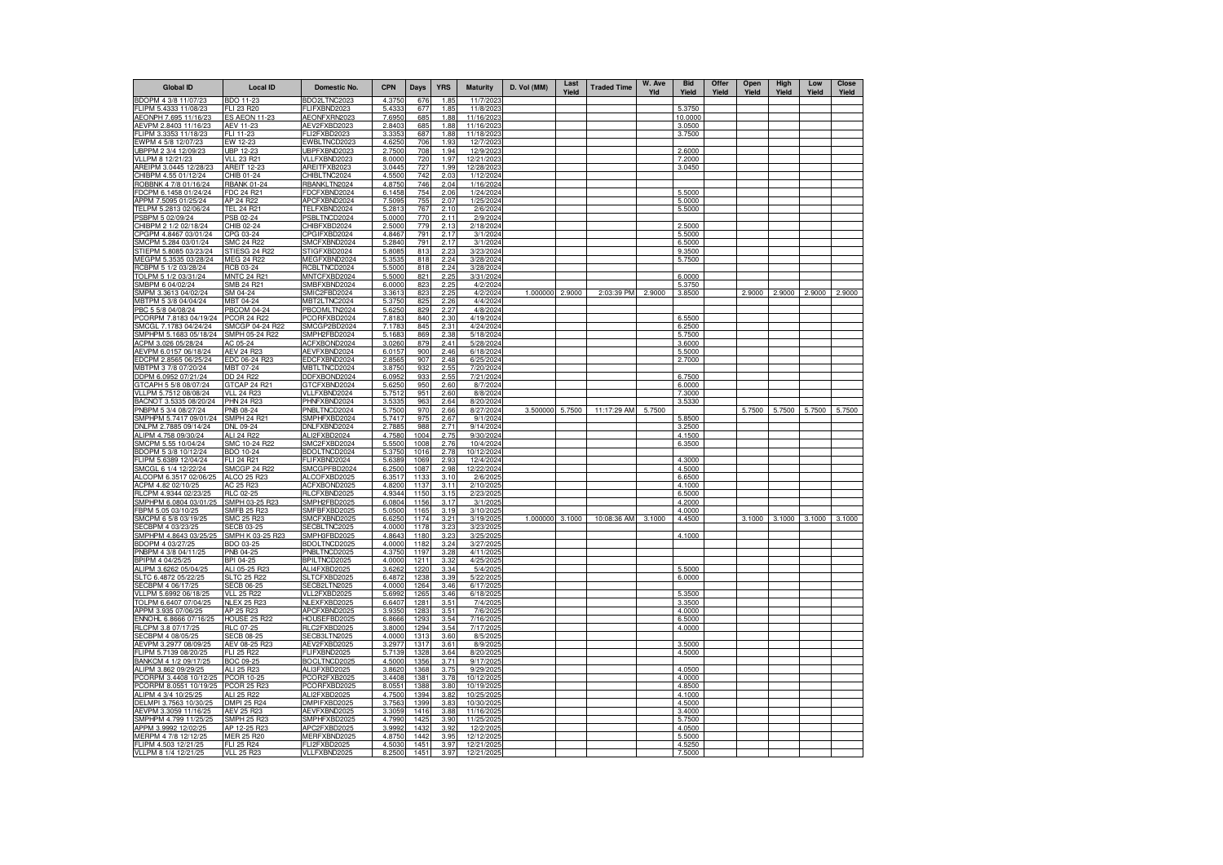| <b>Global ID</b>                                | <b>Local ID</b>                       | <b>Domestic No.</b>          | <b>CPN</b>       | Days          | <b>YRS</b>   | <b>Maturity</b>          | D. Vol (MM)     | Last<br>Yield | <b>Traded Time</b> | W. Ave<br>Yld | <b>Bid</b><br>Yield | Offer<br>Yield | Open<br>Yield | High<br>Yield | Low<br>Yield | <b>Close</b><br>Yield |
|-------------------------------------------------|---------------------------------------|------------------------------|------------------|---------------|--------------|--------------------------|-----------------|---------------|--------------------|---------------|---------------------|----------------|---------------|---------------|--------------|-----------------------|
| BDOPM 4 3/8 11/07/23                            | BDO 11-23                             | BDO2LTNC2023                 | 4.3750           | 676           | 1.85         | 11/7/2023                |                 |               |                    |               |                     |                |               |               |              |                       |
| FLIPM 5.4333 11/08/23                           | LI 23 R20                             | FLIFXBND2023                 | 5.433            | 677           | 1.85         | 11/8/202                 |                 |               |                    |               | 5.3750              |                |               |               |              |                       |
| AEONPH 7.695 11/16/23                           | <b>ES AEON 11-23</b>                  | AEONFXRN2023                 | 7.6950           | 685           | 1.88         | 11/16/2023               |                 |               |                    |               | 10.0000             |                |               |               |              |                       |
| AEVPM 2.8403 11/16/23                           | AEV 11-23                             | AEV2FXBD2023                 | 2.8403           | 685           | 1.88         | 11/16/2023               |                 |               |                    |               | 3.0500              |                |               |               |              |                       |
| FLIPM 3.3353 11/18/23                           | FLI 11-23                             | FLI2FXBD2023                 | 3.335            | 687           | 1.88         | 11/18/202                |                 |               |                    |               | 3.7500              |                |               |               |              |                       |
| EWPM 4 5/8 12/07/23                             | EW 12-23                              | EWBLTNCD2023                 | 4.6250           | 706           | 1.93         | 12/7/202                 |                 |               |                    |               |                     |                |               |               |              |                       |
| UBPPM 2 3/4 12/09/23<br>VLLPM 8 12/21/23        | UBP 12-23<br>VLL 23 R21               | UBPFXBND2023<br>VLLFXBND2023 | 2.7500<br>8.0000 | 708<br>720    | 1.94<br>1.97 | 12/9/202<br>12/21/202    |                 |               |                    |               | 2.6000<br>7.2000    |                |               |               |              |                       |
| AREIPM 3.0445 12/28/23                          | <b>AREIT 12-23</b>                    | AREITFXB2023                 | 3.0445           | 72.           | 1.99         | 12/28/202                |                 |               |                    |               | 3.0450              |                |               |               |              |                       |
| CHIBPM 4.55 01/12/24                            | CHIB 01-24                            | CHIBLTNC2024                 | 4.5500           | 742           | 2.03         | 1/12/2024                |                 |               |                    |               |                     |                |               |               |              |                       |
| ROBBNK 4 7/8 01/16/24                           | <b>RBANK 01-24</b>                    | RBANKLTN2024                 | 4.8750           | 746           | 2.04         | 1/16/2024                |                 |               |                    |               |                     |                |               |               |              |                       |
| FDCPM 6.1458 01/24/24                           | FDC 24 R21                            | FDCFXBND2024                 | 6.1458           | 754           | 2.06         | 1/24/2024                |                 |               |                    |               | 5.5000              |                |               |               |              |                       |
| APPM 7.5095 01/25/24                            | AP 24 R22                             | APCFXBND2024                 | 7.5095           | 755           | 2.07         | 1/25/2024                |                 |               |                    |               | 5.0000              |                |               |               |              |                       |
| TELPM 5.2813 02/06/24                           | <b>TEL 24 R21</b>                     | TELFXBND2024                 | 5.2813           | 767           | 2.10         | 2/6/202                  |                 |               |                    |               | 5.5000              |                |               |               |              |                       |
| PSBPM 5 02/09/24<br>CHIBPM 2 1/2 02/18/24       | <b>SB 02-24</b><br>CHIB 02-24         | PSBLTNCD2024<br>CHIBFXBD2024 | 5.0000<br>2.5000 | 77C<br>779    | 2.11<br>2.13 | 2/9/202<br>2/18/2024     |                 |               |                    |               | 2.5000              |                |               |               |              |                       |
| CPGPM 4.8467 03/01/24                           | CPG 03-24                             | CPGIFXBD2024                 | 4.846            | 791           | 2.17         | 3/1/2024                 |                 |               |                    |               | 5.5000              |                |               |               |              |                       |
| SMCPM 5.284 03/01/24                            | SMC 24 R22                            | SMCFXBND2024                 | 5.2840           | 791           | 2.17         | 3/1/202                  |                 |               |                    |               | 6.5000              |                |               |               |              |                       |
| STIEPM 5.8085 03/23/24                          | STIESG 24 R22                         | STIGFXBD2024                 | 5.8085           | 813           | 2.23         | 3/23/2024                |                 |               |                    |               | 9.3500              |                |               |               |              |                       |
| MEGPM 5.3535 03/28/24                           | <b>MEG 24 R22</b>                     | MEGFXBND2024                 | 5.353            | 818           | 2.24         | 3/28/2024                |                 |               |                    |               | 5.7500              |                |               |               |              |                       |
| RCBPM 5 1/2 03/28/24                            | RCB 03-24                             | RCBLTNCD2024                 | 5.5000           | 818           | 2.24         | 3/28/2024                |                 |               |                    |               |                     |                |               |               |              |                       |
| TOLPM 5 1/2 03/31/24                            | <b>MNTC 24 R21</b>                    | MNTCFXBD2024                 | 5.5000           | 821           | 2.25         | 3/31/2024                |                 |               |                    |               | 6.0000              |                |               |               |              |                       |
| SMBPM 6 04/02/24                                | SMB 24 R21                            | SMBFXBND2024                 | 6.0000           | 823           | 2.25         | 4/2/2024                 |                 |               |                    |               | 5.3750              |                |               |               |              |                       |
| SMPM 3.3613 04/02/24<br>MBTPM 5 3/8 04/04/24    | SM 04-24<br>MBT 04-24                 | SMIC2FBD2024<br>MBT2LTNC2024 | 3.3613<br>5.3750 | 823<br>825    | 2.25<br>2.26 | 4/2/2024<br>4/4/2024     | 1.000000        | 2.9000        | 2:03:39 PM         | 2.9000        | 3.8500              |                | 2.9000        | 2.9000        | 2.9000       | 2.9000                |
| PBC 5 5/8 04/08/24                              | <b>PBCOM 04-24</b>                    | PBCOMLTN2024                 | 5.6250           | 829           | 2.27         | 4/8/2024                 |                 |               |                    |               |                     |                |               |               |              |                       |
| PCORPM 7.8183 04/19/24                          | <b>PCOR 24 R22</b>                    | PCORFXBD2024                 | 7.818            | 840           | 2.30         | 4/19/202                 |                 |               |                    |               | 6.5500              |                |               |               |              |                       |
| SMCGL 7.1783 04/24/24                           | SMCGP 04-24 R22                       | SMCGP2BD2024                 | 7.178            | 845           | 2.31         | 4/24/2024                |                 |               |                    |               | 6.2500              |                |               |               |              |                       |
| SMPHPM 5.1683 05/18/24                          | SMPH 05-24 R22                        | SMPH2FBD2024                 | 5.168            | 869           | 2.38         | 5/18/2024                |                 |               |                    |               | 5.7500              |                |               |               |              |                       |
| ACPM 3.026 05/28/24                             | AC 05-24                              | ACFXBOND2024                 | 3.026            | 879           | 2.41         | 5/28/202                 |                 |               |                    |               | 3.6000              |                |               |               |              |                       |
| AEVPM 6.0157 06/18/24                           | <b>AEV 24 R23</b>                     | AEVFXBND2024                 | 6.0157           | 900           | 2.46         | 6/18/202                 |                 |               |                    |               | 5.5000              |                |               |               |              |                       |
| EDCPM 2.8565 06/25/24                           | EDC 06-24 R23                         | EDCFXBND2024                 | 2.8565           | 907           | 2.48         | 6/25/2024                |                 |               |                    |               | 2.7000              |                |               |               |              |                       |
| MBTPM 3 7/8 07/20/24                            | MBT 07-24                             | MBTLTNCD2024                 | 3.8750           | 932           | 2.55         | 7/20/2024                |                 |               |                    |               |                     |                |               |               |              |                       |
| DDPM 6.0952 07/21/24                            | DD 24 R22                             | DDFXBOND2024                 | 6.095            | 93            | 2.55         | 7/21/2024                |                 |               |                    |               | 6.7500              |                |               |               |              |                       |
| GTCAPH 5 5/8 08/07/24<br>VLLPM 5.7512 08/08/24  | GTCAP 24 R21<br>VIL 24 R23            | GTCFXBND2024<br>VLLFXBND2024 | 5.6250<br>5.7512 | 950<br>$95 -$ | 2.60<br>2.60 | 8/7/2024<br>8/8/2024     |                 |               |                    |               | 6.0000<br>7.3000    |                |               |               |              |                       |
| BACNOT 3.5335 08/20/24                          | PHN 24 R23                            | PHNFXBND2024                 | 3.5335           | 963           | 2.64         | 8/20/2024                |                 |               |                    |               | 3.5330              |                |               |               |              |                       |
| PNBPM 5 3/4 08/27/24                            | PNB 08-24                             | PNBLTNCD2024                 | 5.7500           | 97C           | 2.66         | 8/27/2024                | 3.500000 5.7500 |               | 11:17:29 AM        | 5.7500        |                     |                | 5.7500 5.7500 |               | 5.7500       | 5.7500                |
| SMPHPM 5.7417 09/01/24                          | SMPH 24 R21                           | SMPHFXBD2024                 | 5.7417           | 975           | 2.67         | 9/1/202                  |                 |               |                    |               | 5.8500              |                |               |               |              |                       |
| DNLPM 2.7885 09/14/24                           | <b>DNL 09-24</b>                      | DNLFXBND2024                 | 2.788            | 988           | 2.71         | 9/14/202                 |                 |               |                    |               | 3.2500              |                |               |               |              |                       |
| ALIPM 4.758 09/30/24                            | ALI 24 R22                            | ALI2FXBD2024                 | 4.7580           | 1004          | 2.75         | 9/30/2024                |                 |               |                    |               | 4.1500              |                |               |               |              |                       |
| SMCPM 5.55 10/04/24                             | SMC 10-24 R22                         | SMC2FXBD2024                 | 5.5500           | 100           | 2.76         | 10/4/2024                |                 |               |                    |               | 6.3500              |                |               |               |              |                       |
| BDOPM 5 3/8 10/12/24                            | <b>BDO 10-24</b>                      | BDOLTNCD2024                 | 5.3750           | 1016          | 2.78         | 10/12/2024               |                 |               |                    |               |                     |                |               |               |              |                       |
| FLIPM 5.6389 12/04/24                           | FLI 24 R21                            | FLIFXBND2024                 | 5.6389           | 1069          | 2.93         | 12/4/2024                |                 |               |                    |               | 4.3000              |                |               |               |              |                       |
| SMCGL 6 1/4 12/22/24<br>ALCOPM 6.3517 02/06/25  | <b>SMCGP 24 R22</b><br>ALCO 25 R23    | SMCGPFBD2024<br>ALCOFXBD2025 | 6.2500<br>6.3517 | 1087<br>1133  | 2.98<br>3.10 | 12/22/2024<br>2/6/2025   |                 |               |                    |               | 4.5000<br>6.6500    |                |               |               |              |                       |
| ACPM 4.82 02/10/25                              | AC 25 R23                             | ACFXBOND2025                 | 4.8200           | 1137          | 3.11         | 2/10/2025                |                 |               |                    |               | 4.1000              |                |               |               |              |                       |
| RLCPM 4.9344 02/23/25                           | <b>RLC 02-25</b>                      | RLCFXBND2025                 | 4.9344           | 1150          | 3.15         | 2/23/2025                |                 |               |                    |               | 6.5000              |                |               |               |              |                       |
| SMPHPM 6.0804 03/01/25                          | SMPH 03-25 R23                        | SMPH2FBD2025                 | 6.0804           | 1156          | 3.17         | 3/1/2025                 |                 |               |                    |               | 4.2000              |                |               |               |              |                       |
| FBPM 5.05 03/10/25                              | SMFB 25 R23                           | SMFBFXBD2025                 | 5.0500           | 1165          | 3.19         | 3/10/2025                |                 |               |                    |               | 4.0000              |                |               |               |              |                       |
| SMCPM 6 5/8 03/19/25                            | SMC 25 R23                            | SMCFXBND2025                 | 6.6250           | 1174          | 3.21         | 3/19/2025                | 1.000000        | 3.1000        | 10:08:36 AM        | 3.1000        | 4.4500              |                |               | 3.1000 3.1000 | 3.1000       | 3.1000                |
| SECBPM 4 03/23/25                               | <b>SECB 03-25</b>                     | SECBLTNC2025                 | 4.000            | 1178          | 3.23         | 3/23/202                 |                 |               |                    |               |                     |                |               |               |              |                       |
| SMPHPM 4.8643 03/25/25                          | SMPH K 03-25 R23                      | SMPH3FBD2025                 | 4.8643           | 1180          | 3.23         | 3/25/202                 |                 |               |                    |               | 4.1000              |                |               |               |              |                       |
| BDOPM 4 03/27/25<br>PNBPM 4 3/8 04/11/25        | BDO 03-25<br><b>PNB 04-25</b>         | BDOLTNCD2025<br>PNBLTNCD2025 | 4.0000<br>4.3750 | 1182<br>1197  | 3.24<br>3.28 | 3/27/2025<br>4/11/2025   |                 |               |                    |               |                     |                |               |               |              |                       |
| BPIPM 4 04/25/25                                | BPI 04-25                             | BPILTNCD2025                 | 4.0000           | 121'          | 3.32         | 4/25/202                 |                 |               |                    |               |                     |                |               |               |              |                       |
| ALIPM 3.6262 05/04/25                           | ALI 05-25 R23                         | ALI4FXBD2025                 | 3.6262           | 1220          | 3.34         | 5/4/2025                 |                 |               |                    |               | 5.5000              |                |               |               |              |                       |
| SLTC 6.4872 05/22/25                            | <b>SLTC 25 R22</b>                    | SLTCFXBD2025                 | 6.487            | 1238          | 3.39         | 5/22/2025                |                 |               |                    |               | 6.0000              |                |               |               |              |                       |
| SECBPM 4 06/17/25                               | <b>SECB 06-25</b>                     | SECB2LTN2025                 | 4.000            | 1264          | 3.46         | 6/17/202                 |                 |               |                    |               |                     |                |               |               |              |                       |
| VLLPM 5.6992 06/18/25                           | <b>VLL 25 R22</b>                     | VLL2FXBD2025                 | 5.6992           | 1265          | 3.46         | 6/18/2025                |                 |               |                    |               | 5.3500              |                |               |               |              |                       |
| TOLPM 6.6407 07/04/25                           | <b>NLEX 25 R23</b>                    | NLEXFXBD2025                 | 6.6407           | 1281          | 3.51         | 7/4/2025                 |                 |               |                    |               | 3.3500              |                |               |               |              |                       |
| APPM 3.935 07/06/25                             | AP 25 R23                             | APCFXBND2025                 | 3.935            | 1283          | 3.51         | 7/6/2025                 |                 |               |                    |               | 4.0000              |                |               |               |              |                       |
| ENNOHL 6.8666 07/16/25                          | <b>HOUSE 25 R22</b>                   | HOUSEFBD2025                 | 6.8666           | 1293          | 3.54         | 7/16/2025                |                 |               |                    |               | 6.5000              |                |               |               |              |                       |
| RLCPM 3.8 07/17/25<br>SECBPM 4 08/05/25         | <b>RLC 07-25</b><br><b>SECB 08-25</b> | RLC2FXBD2025<br>SECB3LTN2025 | 3.8000<br>4.0000 | 1294<br>1313  | 3.54<br>3.60 | 7/17/202<br>8/5/202      |                 |               |                    |               | 4.0000              |                |               |               |              |                       |
| AEVPM 3.2977 08/09/25                           | AEV 08-25 R23                         | AEV2FXBD2025                 | 3.2977           | 1317          | 3.61         | 8/9/202                  |                 |               |                    |               | 3.5000              |                |               |               |              |                       |
| FLIPM 5.7139 08/20/25                           | FLI 25 R22                            | FLIFXBND2025                 | 5.7139           | 1328          | 3.64         | 8/20/2025                |                 |               |                    |               | 4.5000              |                |               |               |              |                       |
| BANKCM 4 1/2 09/17/25                           | BOC 09-25                             | BOCLTNCD2025                 | 4.500            | 1356          | 3.71         | 9/17/2025                |                 |               |                    |               |                     |                |               |               |              |                       |
| ALIPM 3.862 09/29/25                            | ALI 25 R23                            | ALI3FXBD2025                 | 3.862            | 1368          | 3.75         | 9/29/2025                |                 |               |                    |               | 4.0500              |                |               |               |              |                       |
| PCORPM 3.4408 10/12/25                          | PCOR 10-25                            | PCOR2FXB2025                 | 3.4408           | 1381          | 3.78         | 10/12/2025               |                 |               |                    |               | 4.0000              |                |               |               |              |                       |
| PCORPM 8.0551 10/19/25                          | <b>PCOR 25 R23</b>                    | PCORFXBD2025                 | 8.055            | 1388          | 3.80         | 10/19/202                |                 |               |                    |               | 4.8500              |                |               |               |              |                       |
| ALIPM 4 3/4 10/25/25                            | ALL 25 B22                            | ALI2FXBD2025                 | 4.750            | 1394          | 3.82         | 10/25/202                |                 |               |                    |               | 4.1000              |                |               |               |              |                       |
| DELMPI 3.7563 10/30/25<br>AEVPM 3.3059 11/16/25 | DMPI 25 R24<br><b>AEV 25 R23</b>      | DMPIFXBD2025<br>AEVFXBND2025 | 3.7563<br>3.305  | 1399<br>1416  | 3.83<br>3.88 | 10/30/2025<br>11/16/2025 |                 |               |                    |               | 4.5000<br>3.4000    |                |               |               |              |                       |
| SMPHPM 4.799 11/25/25                           | SMPH 25 R23                           | SMPHFXBD2025                 | 4.799            | 1425          | 3.90         | 11/25/202                |                 |               |                    |               | 5.7500              |                |               |               |              |                       |
| APPM 3.9992 12/02/25                            | AP 12-25 R23                          | APC2FXBD2025                 | 3.9992           | 1432          | 3.92         | 12/2/2025                |                 |               |                    |               | 4.0500              |                |               |               |              |                       |
| MERPM 4 7/8 12/12/25                            | MFR 25 R20                            | MERFXBND2025                 | 4.875            | 1442          | 3.95         | 12/12/2025               |                 |               |                    |               | 5.5000              |                |               |               |              |                       |
| FLIPM 4.503 12/21/25                            | FLI 25 R24                            | FLI2FXBD2025                 | 4.5030           | 1451          | 3.97         | 12/21/202                |                 |               |                    |               | 4.5250              |                |               |               |              |                       |
| VLLPM 8 1/4 12/21/25                            | <b>VLL 25 R23</b>                     | VLLFXBND2025                 | 8.2500           | 1451          | 3.97         | 12/21/2025               |                 |               |                    |               | 7.5000              |                |               |               |              |                       |